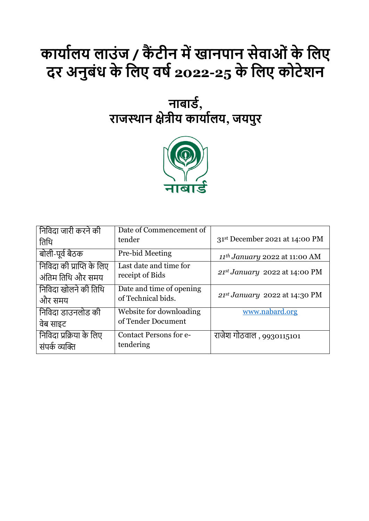# **कार्ाालर् लाउंज / कैं टीन में खानपान सेवाओं के ललए दर अनुबंध के ललए वर्ा 2022-25 के ललए कोटेशन**

## **नाबार्ा, राजस्थान क्षेत्रीर् कार्ाालर्, जर्पुर**



| Date of Commencement of                        |                                            |
|------------------------------------------------|--------------------------------------------|
| tender                                         | 31 <sup>st</sup> December 2021 at 14:00 PM |
| Pre-bid Meeting                                | $11^{th}$ January 2022 at 11:00 AM         |
| Last date and time for<br>receipt of Bids      | 21st January 2022 at 14:00 PM              |
| Date and time of opening<br>of Technical bids. | 21st January 2022 at 14:30 PM              |
| Website for downloading                        | www.nabard.org                             |
|                                                |                                            |
| <b>Contact Persons for e-</b><br>tendering     | राजेश गोठवाल, 9930115101                   |
|                                                | of Tender Document                         |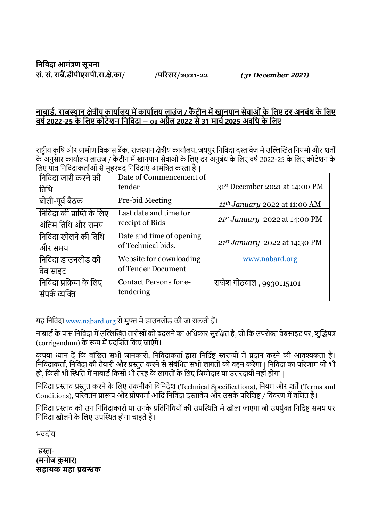## **नाबार्ा, राजस्थान क्षेत्रीर् कार्ाालर् में कार्ाालर् लाउंज / कैं टीन में खानपान सेवाओं के ललए दर अनुबंध के ललए वर्ा 2022-25 के ललए कोटेशन लनलवदा – 01 अप्रैल 2022 से 31 माचा 2025 अवलध के ललए**

राष्ट्रीय कृषि और ग्रामीण विकास बैंक, राजस्थान क्षेत्रीय कार्यालय, जयपुर निविदा दस्तावेज़ में उल्लिखित नियमों और शर्तों के अनसार कार्यालय लाउंज / कैंटीन में खानपान सेवाओं के लिए दर अनबंध के लिए वर्ष 2022-25 के लिए कोटेशन के नलए पात्र निनिदाकिावओं से मुहरबंद निनिदाएं आमंनत्रि करिा है |

| निविदा जारी करने की                            | Date of Commencement of                        |                                            |
|------------------------------------------------|------------------------------------------------|--------------------------------------------|
| तिथि                                           | tender                                         | 31 <sup>st</sup> December 2021 at 14:00 PM |
| बोली-पूर्व बैठक                                | Pre-bid Meeting                                | 11th January 2022 at 11:00 AM              |
| निविदा की प्राप्ति के लिए<br>अंतिम तिथि और समय | Last date and time for<br>receipt of Bids      | 21st January 2022 at 14:00 PM              |
| निविदा खोलने की तिथि<br>और समय                 | Date and time of opening<br>of Technical bids. | 21st January 2022 at 14:30 PM              |
| निविदा डाउनलोड की                              | Website for downloading                        | www.nabard.org                             |
| वेब साइट                                       | of Tender Document                             |                                            |
| निविदा प्रक्रिया के लिए<br>संपर्क व्यक्ति      | <b>Contact Persons for e-</b><br>tendering     | राजेश गोठवाल, 9930115101                   |

यह निविदा [www.nabard.org](http://www.nabard.org/) से मुफ्त मे डाउनलोड की जा सकती हैं।

नाबार्ड के पास निविदा में उल्लिखित तारीखों को बदलने का अधिकार सरक्षित है. जो कि उपरोक्त वेबसाइट पर, शुद्धिपत्र (corrigendum) के रूप में प्रदर्शित किए जाएंगे।

कृपया ध्यान दें कि वांछित सभी जानकारी, निविदाकर्ता द्वारा निर्दिष्ट् स्वरूपों में प्रदान करने की आवश्यकता है। निविदाकर्ता, निविदा की तैयारी और प्रस्तुत करने से संबंधित सभी लागतों को वहन करेगा । निविदा का परिणाम जो भी हो. किसी भी स्थिति में नाबार्ड किसी भी तरह के लागतों के लिए जिम्मेदार या उत्तरदायी नहीं होगा ।

निविदा प्रस्ताव प्रस्तुत करने के लिए तकनीकी विनिर्देश (Technical Specifications), नियम और शर्तें (Terms and Conditions), परिवर्तन प्रारूप और प्रोफार्मा आदि निविदा दस्तावेज और उसके परिशिष्ट / विवरण में वर्णित हैं।

निविदा प्रस्ताव को उन निविदाकारों या उनके प्रतिनिधियों की उपस्थिति में खोला जाएगा जो उपर्युक्त निर्दिष्ट समय पर निविदा खोलने के लिए उपस्थित होना चाहते हैं।

भवदीय

-हस्ता- **(मनोज कु मार) सहार्क महा प्रबन्धक**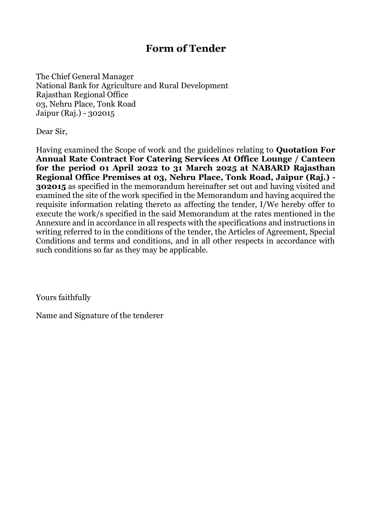## **Form of Tender**

The Chief General Manager National Bank for Agriculture and Rural Development Rajasthan Regional Office 03, Nehru Place, Tonk Road Jaipur (Raj.) - 302015

Dear Sir,

Having examined the Scope of work and the guidelines relating to **Quotation For Annual Rate Contract For Catering Services At Office Lounge / Canteen for the period 01 April 2022 to 31 March 2025 at NABARD Rajasthan Regional Office Premises at 03, Nehru Place, Tonk Road, Jaipur (Raj.) - 302015** as specified in the memorandum hereinafter set out and having visited and examined the site of the work specified in the Memorandum and having acquired the requisite information relating thereto as affecting the tender, I/We hereby offer to execute the work/s specified in the said Memorandum at the rates mentioned in the Annexure and in accordance in all respects with the specifications and instructions in writing referred to in the conditions of the tender, the Articles of Agreement, Special Conditions and terms and conditions, and in all other respects in accordance with such conditions so far as they may be applicable.

Yours faithfully

Name and Signature of the tenderer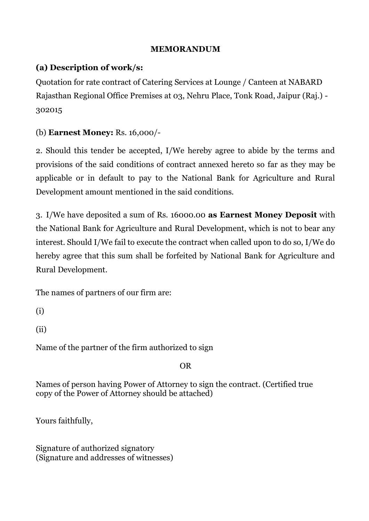## **MEMORANDUM**

## **(a) Description of work/s:**

Quotation for rate contract of Catering Services at Lounge / Canteen at NABARD Rajasthan Regional Office Premises at 03, Nehru Place, Tonk Road, Jaipur (Raj.) - 302015

## (b) **Earnest Money:** Rs. 16,000/-

2. Should this tender be accepted, I/We hereby agree to abide by the terms and provisions of the said conditions of contract annexed hereto so far as they may be applicable or in default to pay to the National Bank for Agriculture and Rural Development amount mentioned in the said conditions.

3. I/We have deposited a sum of Rs. 16000.00 **as Earnest Money Deposit** with the National Bank for Agriculture and Rural Development, which is not to bear any interest. Should I/We fail to execute the contract when called upon to do so, I/We do hereby agree that this sum shall be forfeited by National Bank for Agriculture and Rural Development.

The names of partners of our firm are:

(i)

(ii)

Name of the partner of the firm authorized to sign

OR

Names of person having Power of Attorney to sign the contract. (Certified true copy of the Power of Attorney should be attached)

Yours faithfully,

Signature of authorized signatory (Signature and addresses of witnesses)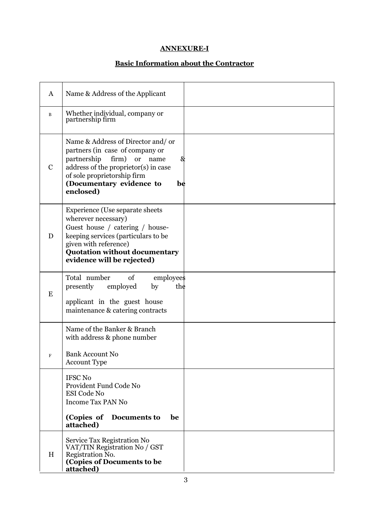#### **ANNEXURE-I**

## **Basic Information about the Contractor**

| A             | Name & Address of the Applicant                                                                                                                                                                                                    |  |
|---------------|------------------------------------------------------------------------------------------------------------------------------------------------------------------------------------------------------------------------------------|--|
| B             | Whether individual, company or<br>partnership firm                                                                                                                                                                                 |  |
| $\mathcal{C}$ | Name & Address of Director and/or<br>partners (in case of company or<br>partnership<br>firm) or<br>name<br>&<br>address of the proprietor(s) in case<br>of sole proprietorship firm<br>(Documentary evidence to<br>bė<br>enclosed) |  |
| D             | Experience (Use separate sheets<br>wherever necessary)<br>Guest house / catering / house-<br>keeping services (particulars to be<br>given with reference)<br><b>Quotation without documentary</b><br>evidence will be rejected)    |  |
| E             | Total number<br>of<br>employees<br>presently<br>employed<br>$th\phi$<br>by<br>applicant in the guest house<br>maintenance & catering contracts                                                                                     |  |
|               | Name of the Banker & Branch<br>with address & phone number                                                                                                                                                                         |  |
| $\mathbf F$   | <b>Bank Account No</b><br><b>Account Type</b>                                                                                                                                                                                      |  |
|               | <b>IFSC No</b><br>Provident Fund Code No<br><b>ESI</b> Code No<br><b>Income Tax PAN No</b><br>(Copies of<br><b>Documents to</b><br>be<br>attached)                                                                                 |  |
| H             | Service Tax Registration No<br>VAT/TIN Registration No / GST<br>Registration No.<br>(Copies of Documents to be<br>attached)                                                                                                        |  |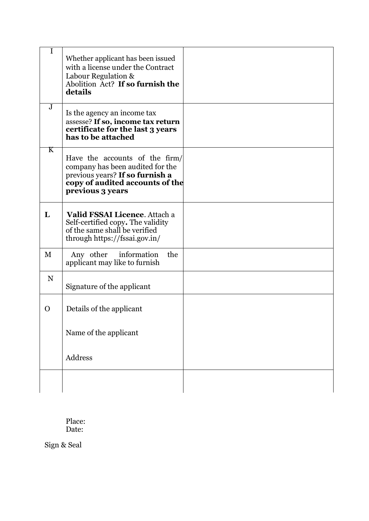| $\mathbf I$ | Whether applicant has been issued<br>with a license under the Contract<br>Labour Regulation &<br>Abolition Act? If so furnish the<br>details                 |  |
|-------------|--------------------------------------------------------------------------------------------------------------------------------------------------------------|--|
| $\mathbf J$ | Is the agency an income tax<br>assesse? If so, income tax return<br>certificate for the last 3 years<br>has to be attached                                   |  |
| Κ           | Have the accounts of the firm/<br>company has been audited for the<br>previous years? If so furnish a<br>copy of audited accounts of the<br>previous 3 years |  |
| L           | <b>Valid FSSAI Licence.</b> Attach a<br>Self-certified copy. The validity<br>of the same shall be verified<br>through https://fssai.gov.in/                  |  |
| M           | Any other<br>information<br>the<br>applicant may like to furnish                                                                                             |  |
| $\mathbf N$ | Signature of the applicant                                                                                                                                   |  |
| $\Omega$    | Details of the applicant                                                                                                                                     |  |
|             | Name of the applicant                                                                                                                                        |  |
|             | Address                                                                                                                                                      |  |
|             |                                                                                                                                                              |  |

Place: Date:

Sign & Seal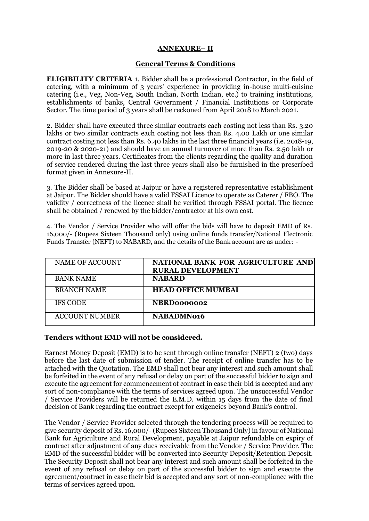#### **ANNEXURE– II**

#### **General Terms & Conditions**

**ELIGIBILITY CRITERIA** 1. Bidder shall be a professional Contractor, in the field of catering, with a minimum of 3 years' experience in providing in-house multi-cuisine catering (i.e., Veg, Non-Veg, South Indian, North Indian, etc.) to training institutions, establishments of banks, Central Government / Financial Institutions or Corporate Sector. The time period of 3 years shall be reckoned from April 2018 to March 2021.

2. Bidder shall have executed three similar contracts each costing not less than Rs. 3.20 lakhs or two similar contracts each costing not less than Rs. 4.00 Lakh or one similar contract costing not less than Rs. 6.40 lakhs in the last three financial years (i.e. 2018-19, 2019-20 & 2020-21) and should have an annual turnover of more than Rs. 2.50 lakh or more in last three years. Certificates from the clients regarding the quality and duration of service rendered during the last three years shall also be furnished in the prescribed format given in Annexure-II.

3. The Bidder shall be based at Jaipur or have a registered representative establishment at Jaipur. The Bidder should have a valid FSSAI Licence to operate as Caterer / FBO. The validity / correctness of the licence shall be verified through FSSAI portal. The licence shall be obtained / renewed by the bidder/contractor at his own cost.

4. The Vendor / Service Provider who will offer the bids will have to deposit EMD of Rs. 16,000/- (Rupees Sixteen Thousand only) using online funds transfer/National Electronic Funds Transfer (NEFT) to NABARD, and the details of the Bank account are as under: -

| NAME OF ACCOUNT       | <b>NATIONAL BANK FOR AGRICULTURE AND</b> |
|-----------------------|------------------------------------------|
|                       | <b>RURAL DEVELOPMENT</b>                 |
| <b>BANK NAME</b>      | <b>NARARD</b>                            |
| <b>BRANCH NAME</b>    | <b>HEAD OFFICE MUMBAI</b>                |
| <b>IFS CODE</b>       | NBRD0000002                              |
| <b>ACCOUNT NUMBER</b> | <b>NABADMN016</b>                        |

#### **Tenders without EMD will not be considered.**

Earnest Money Deposit (EMD) is to be sent through online transfer (NEFT) 2 (two) days before the last date of submission of tender. The receipt of online transfer has to be attached with the Quotation. The EMD shall not bear any interest and such amount shall be forfeited in the event of any refusal or delay on part of the successful bidder to sign and execute the agreement for commencement of contract in case their bid is accepted and any sort of non-compliance with the terms of services agreed upon. The unsuccessful Vendor / Service Providers will be returned the E.M.D. within 15 days from the date of final decision of Bank regarding the contract except for exigencies beyond Bank's control.

The Vendor / Service Provider selected through the tendering process will be required to give security deposit of Rs. 16,000/- (Rupees Sixteen Thousand Only) in favour of National Bank for Agriculture and Rural Development, payable at Jaipur refundable on expiry of contract after adjustment of any dues receivable from the Vendor / Service Provider. The EMD of the successful bidder will be converted into Security Deposit/Retention Deposit. The Security Deposit shall not bear any interest and such amount shall be forfeited in the event of any refusal or delay on part of the successful bidder to sign and execute the agreement/contract in case their bid is accepted and any sort of non-compliance with the terms of services agreed upon.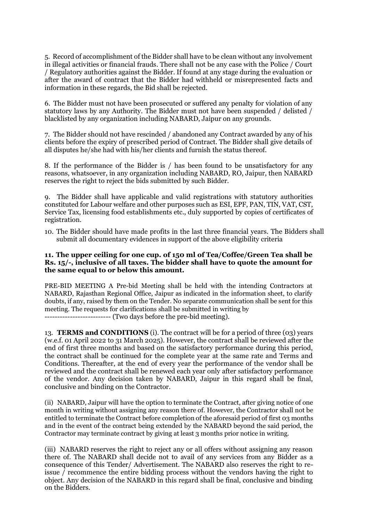5. Record of accomplishment of the Bidder shall have to be clean without any involvement in illegal activities or financial frauds. There shall not be any case with the Police / Court / Regulatory authorities against the Bidder. If found at any stage during the evaluation or after the award of contract that the Bidder had withheld or misrepresented facts and information in these regards, the Bid shall be rejected.

6. The Bidder must not have been prosecuted or suffered any penalty for violation of any statutory laws by any Authority. The Bidder must not have been suspended / delisted / blacklisted by any organization including NABARD, Jaipur on any grounds.

7. The Bidder should not have rescinded / abandoned any Contract awarded by any of his clients before the expiry of prescribed period of Contract. The Bidder shall give details of all disputes he/she had with his/her clients and furnish the status thereof.

8. If the performance of the Bidder is / has been found to be unsatisfactory for any reasons, whatsoever, in any organization including NABARD, RO, Jaipur, then NABARD reserves the right to reject the bids submitted by such Bidder.

9. The Bidder shall have applicable and valid registrations with statutory authorities constituted for Labour welfare and other purposes such as ESI, EPF, PAN, TIN, VAT, CST, Service Tax, licensing food establishments etc., duly supported by copies of certificates of registration.

10. The Bidder should have made profits in the last three financial years. The Bidders shall submit all documentary evidences in support of the above eligibility criteria

#### **11. The upper ceiling for one cup. of 150 ml of Tea/Coffee/Green Tea shall be Rs. 15/-, inclusive of all taxes. The bidder shall have to quote the amount for the same equal to or below this amount.**

PRE-BID MEETING A Pre-bid Meeting shall be held with the intending Contractors at NABARD, Rajasthan Regional Office, Jaipur as indicated in the information sheet, to clarify doubts, if any, raised by them on the Tender. No separate communication shall be sent for this meeting. The requests for clarifications shall be submitted in writing by -------------------------- (Two days before the pre-bid meeting).

13. **TERMS and CONDITIONS** (i). The contract will be for a period of three (03) years (w.e.f. 01 April 2022 to 31 March 2025). However, the contract shall be reviewed after the end of first three months and based on the satisfactory performance during this period, the contract shall be continued for the complete year at the same rate and Terms and Conditions. Thereafter, at the end of every year the performance of the vendor shall be reviewed and the contract shall be renewed each year only after satisfactory performance of the vendor. Any decision taken by NABARD, Jaipur in this regard shall be final, conclusive and binding on the Contractor.

(ii) NABARD, Jaipur will have the option to terminate the Contract, after giving notice of one month in writing without assigning any reason there of. However, the Contractor shall not be entitled to terminate the Contract before completion of the aforesaid period of first 03 months and in the event of the contract being extended by the NABARD beyond the said period, the Contractor may terminate contract by giving at least 3 months prior notice in writing.

(iii) NABARD reserves the right to reject any or all offers without assigning any reason there of. The NABARD shall decide not to avail of any services from any Bidder as a consequence of this Tender/ Advertisement. The NABARD also reserves the right to reissue  $\overline{\phantom{a}}$  recommence the entire bidding process without the vendors having the right to object. Any decision of the NABARD in this regard shall be final, conclusive and binding on the Bidders.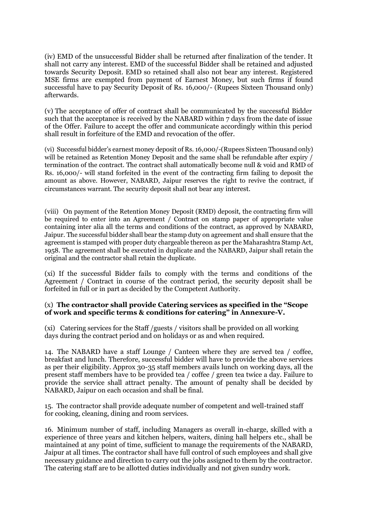(iv) EMD of the unsuccessful Bidder shall be returned after finalization of the tender. It shall not carry any interest. EMD of the successful Bidder shall be retained and adjusted towards Security Deposit. EMD so retained shall also not bear any interest. Registered MSE firms are exempted from payment of Earnest Money, but such firms if found successful have to pay Security Deposit of Rs. 16,000/- (Rupees Sixteen Thousand only) afterwards.

(v) The acceptance of offer of contract shall be communicated by the successful Bidder such that the acceptance is received by the NABARD within 7 days from the date of issue of the Offer. Failure to accept the offer and communicate accordingly within this period shall result in forfeiture of the EMD and revocation of the offer.

(vi) Successful bidder's earnest money deposit of Rs. 16,000/-(Rupees Sixteen Thousand only) will be retained as Retention Money Deposit and the same shall be refundable after expiry / termination of the contract. The contract shall automatically become null & void and RMD of Rs. 16,000/- will stand forfeited in the event of the contracting firm failing to deposit the amount as above. However, NABARD, Jaipur reserves the right to revive the contract, if circumstances warrant. The security deposit shall not bear any interest.

(viii) On payment of the Retention Money Deposit (RMD) deposit, the contracting firm will be required to enter into an Agreement / Contract on stamp paper of appropriate value containing inter alia all the terms and conditions of the contract, as approved by NABARD, Jaipur. The successful bidder shall bear the stamp duty on agreement and shall ensure that the agreement is stamped with proper duty chargeable thereon as per the Maharashtra Stamp Act, 1958. The agreement shall be executed in duplicate and the NABARD, Jaipur shall retain the original and the contractor shall retain the duplicate.

(xi) If the successful Bidder fails to comply with the terms and conditions of the Agreement / Contract in course of the contract period, the security deposit shall be forfeited in full or in part as decided by the Competent Authority.

#### (x) **The contractor shall provide Catering services as specified in the "Scope of work and specific terms & conditions for catering" in Annexure-V.**

(xi) Catering services for the Staff /guests / visitors shall be provided on all working days during the contract period and on holidays or as and when required.

14. The NABARD have a staff Lounge / Canteen where they are served tea / coffee, breakfast and lunch. Therefore, successful bidder will have to provide the above services as per their eligibility. Approx 30-35 staff members avails lunch on working days, all the present staff members have to be provided tea / coffee / green tea twice a day. Failure to provide the service shall attract penalty. The amount of penalty shall be decided by NABARD, Jaipur on each occasion and shall be final.

15. The contractor shall provide adequate number of competent and well-trained staff for cooking, cleaning, dining and room services.

16. Minimum number of staff, including Managers as overall in-charge, skilled with a experience of three years and kitchen helpers, waiters, dining hall helpers etc., shall be maintained at any point of time, sufficient to manage the requirements of the NABARD, Jaipur at all times. The contractor shall have full control of such employees and shall give necessary guidance and direction to carry out the jobs assigned to them by the contractor. The catering staff are to be allotted duties individually and not given sundry work.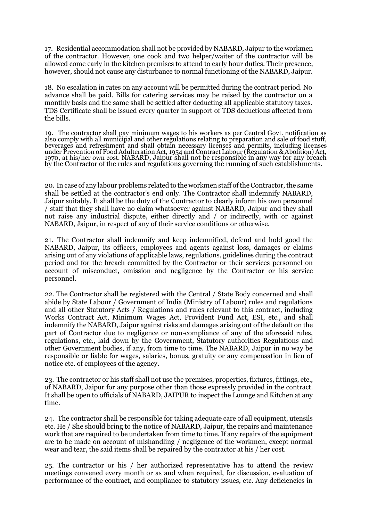17. Residential accommodation shall not be provided by NABARD, Jaipur to the workmen of the contractor. However, one cook and two helper/waiter of the contractor will be allowed come early in the kitchen premises to attend to early hour duties. Their presence, however, should not cause any disturbance to normal functioning of the NABARD, Jaipur.

18. No escalation in rates on any account will be permitted during the contract period. No advance shall be paid. Bills for catering services may be raised by the contractor on a monthly basis and the same shall be settled after deducting all applicable statutory taxes. TDS Certificate shall be issued every quarter in support of TDS deductions affected from the bills.

19. The contractor shall pay minimum wages to his workers as per Central Govt. notification as also comply with all municipal and other regulations relating to preparation and sale of food stuff, beverages and refreshment and shall obtain necessary licenses and permits, including licenses under Prevention of Food Adulteration Act, 1954 and Contract Labour (Regulation & Abolition) Act, 1970, at his/her own cost. NABARD, Jaipur shall not be responsible in any way for any breach by the Contractor of the rules and regulations governing the running of such establishments.

20. In case of any labour problems related to the workmen staff of the Contractor, the same shall be settled at the contractor's end only. The Contractor shall indemnify NABARD, Jaipur suitably. It shall be the duty of the Contractor to clearly inform his own personnel / staff that they shall have no claim whatsoever against NABARD, Jaipur and they shall not raise any industrial dispute, either directly and / or indirectly, with or against NABARD, Jaipur, in respect of any of their service conditions or otherwise.

21. The Contractor shall indemnify and keep indemnified, defend and hold good the NABARD, Jaipur, its officers, employees and agents against loss, damages or claims arising out of any violations of applicable laws, regulations, guidelines during the contract period and for the breach committed by the Contractor or their services personnel on account of misconduct, omission and negligence by the Contractor or his service personnel.

22. The Contractor shall be registered with the Central / State Body concerned and shall abide by State Labour / Government of India (Ministry of Labour) rules and regulations and all other Statutory Acts / Regulations and rules relevant to this contract, including Works Contract Act, Minimum Wages Act, Provident Fund Act, ESI, etc., and shall indemnify the NABARD, Jaipur against risks and damages arising out of the default on the part of Contractor due to negligence or non-compliance of any of the aforesaid rules, regulations, etc., laid down by the Government, Statutory authorities Regulations and other Government bodies, if any, from time to time. The NABARD, Jaipur in no way be responsible or liable for wages, salaries, bonus, gratuity or any compensation in lieu of notice etc. of employees of the agency.

23. The contractor or his staff shall not use the premises, properties, fixtures, fittings, etc., of NABARD, Jaipur for any purpose other than those expressly provided in the contract. It shall be open to officials of NABARD, JAIPUR to inspect the Lounge and Kitchen at any time.

24. The contractor shall be responsible for taking adequate care of all equipment, utensils etc. He / She should bring to the notice of NABARD, Jaipur, the repairs and maintenance work that are required to be undertaken from time to time. If any repairs of the equipment are to be made on account of mishandling / negligence of the workmen, except normal wear and tear, the said items shall be repaired by the contractor at his / her cost.

25. The contractor or his / her authorized representative has to attend the review meetings convened every month or as and when required, for discussion, evaluation of performance of the contract, and compliance to statutory issues, etc. Any deficiencies in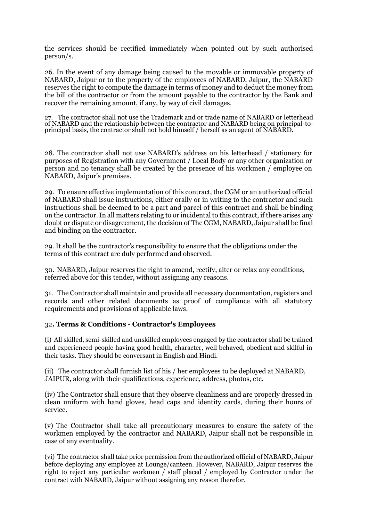the services should be rectified immediately when pointed out by such authorised person/s.

26. In the event of any damage being caused to the movable or immovable property of NABARD, Jaipur or to the property of the employees of NABARD, Jaipur, the NABARD reserves the right to compute the damage in terms of money and to deduct the money from the bill of the contractor or from the amount payable to the contractor by the Bank and recover the remaining amount, if any, by way of civil damages.

27. The contractor shall not use the Trademark and or trade name of NABARD or letterhead of NABARD and the relationship between the contractor and NABARD being on principal-toprincipal basis, the contractor shall not hold himself / herself as an agent of NABARD.

28. The contractor shall not use NABARD's address on his letterhead / stationery for purposes of Registration with any Government / Local Body or any other organization or person and no tenancy shall be created by the presence of his workmen / employee on NABARD, Jaipur's premises.

29. To ensure effective implementation of this contract, the CGM or an authorized official of NABARD shall issue instructions, either orally or in writing to the contractor and such instructions shall be deemed to be a part and parcel of this contract and shall be binding on the contractor. In all matters relating to or incidental to this contract, if there arises any doubt or dispute or disagreement, the decision of The CGM, NABARD, Jaipur shall be final and binding on the contractor.

29. It shall be the contractor's responsibility to ensure that the obligations under the terms of this contract are duly performed and observed.

30. NABARD, Jaipur reserves the right to amend, rectify, alter or relax any conditions, referred above for this tender, without assigning any reasons.

31. The Contractor shall maintain and provide all necessary documentation, registers and records and other related documents as proof of compliance with all statutory requirements and provisions of applicable laws.

#### 32**. Terms & Conditions - Contractor's Employees**

(i) All skilled, semi-skilled and unskilled employees engaged by the contractor shall be trained and experienced people having good health, character, well behaved, obedient and skilful in their tasks. They should be conversant in English and Hindi.

(ii) The contractor shall furnish list of his / her employees to be deployed at NABARD, JAIPUR, along with their qualifications, experience, address, photos, etc.

(iv) The Contractor shall ensure that they observe cleanliness and are properly dressed in clean uniform with hand gloves, head caps and identity cards, during their hours of service.

(v) The Contractor shall take all precautionary measures to ensure the safety of the workmen employed by the contractor and NABARD, Jaipur shall not be responsible in case of any eventuality.

(vi) The contractor shall take prior permission from the authorized official of NABARD, Jaipur before deploying any employee at Lounge/canteen. However, NABARD, Jaipur reserves the right to reject any particular workmen / staff placed / employed by Contractor under the contract with NABARD, Jaipur without assigning any reason therefor.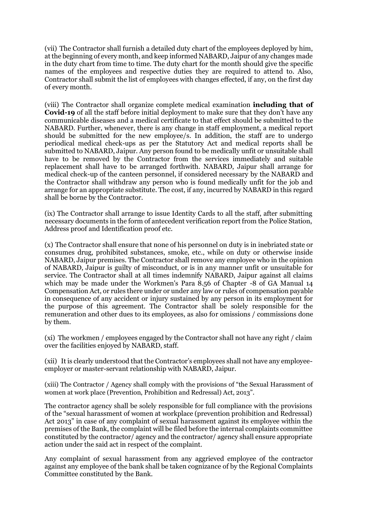(vii) The Contractor shall furnish a detailed duty chart of the employees deployed by him, at the beginning of every month, and keep informed NABARD, Jaipur of any changes made in the duty chart from time to time. The duty chart for the month should give the specific names of the employees and respective duties they are required to attend to. Also, Contractor shall submit the list of employees with changes effected, if any, on the first day of every month.

(viii) The Contractor shall organize complete medical examination **including that of Covid-19** of all the staff before initial deployment to make sure that they don't have any communicable diseases and a medical certificate to that effect should be submitted to the NABARD. Further, whenever, there is any change in staff employment, a medical report should be submitted for the new employee/s. In addition, the staff are to undergo periodical medical check-ups as per the Statutory Act and medical reports shall be submitted to NABARD, Jaipur. Any person found to be medically unfit or unsuitable shall have to be removed by the Contractor from the services immediately and suitable replacement shall have to be arranged forthwith. NABARD, Jaipur shall arrange for medical check-up of the canteen personnel, if considered necessary by the NABARD and the Contractor shall withdraw any person who is found medically unfit for the job and arrange for an appropriate substitute. The cost, if any, incurred by NABARD in this regard shall be borne by the Contractor.

(ix) The Contractor shall arrange to issue Identity Cards to all the staff, after submitting necessary documents in the form of antecedent verification report from the Police Station, Address proof and Identification proof etc.

(x) The Contractor shall ensure that none of his personnel on duty is in inebriated state or consumes drug, prohibited substances, smoke, etc., while on duty or otherwise inside NABARD, Jaipur premises. The Contractor shall remove any employee who in the opinion of NABARD, Jaipur is guilty of misconduct, or is in any manner unfit or unsuitable for service. The Contractor shall at all times indemnify NABARD, Jaipur against all claims which may be made under the Workmen's Para 8.56 of Chapter -8 of GA Manual 14 Compensation Act, or rules there under or under any law or rules of compensation payable in consequence of any accident or injury sustained by any person in its employment for the purpose of this agreement. The Contractor shall be solely responsible for the remuneration and other dues to its employees, as also for omissions / commissions done by them.

(xi) The workmen / employees engaged by the Contractor shall not have any right / claim over the facilities enjoyed by NABARD, staff.

(xii) It is clearly understood that the Contractor's employees shall not have any employeeemployer or master-servant relationship with NABARD, Jaipur.

(xiii) The Contractor / Agency shall comply with the provisions of "the Sexual Harassment of women at work place (Prevention, Prohibition and Redressal) Act, 2013".

The contractor agency shall be solely responsible for full compliance with the provisions of the "sexual harassment of women at workplace (prevention prohibition and Redressal) Act 2013" in case of any complaint of sexual harassment against its employee within the premises of the Bank, the complaint will be filed before the internal complaints committee constituted by the contractor/ agency and the contractor/ agency shall ensure appropriate action under the said act in respect of the complaint.

Any complaint of sexual harassment from any aggrieved employee of the contractor against any employee of the bank shall be taken cognizance of by the Regional Complaints Committee constituted by the Bank.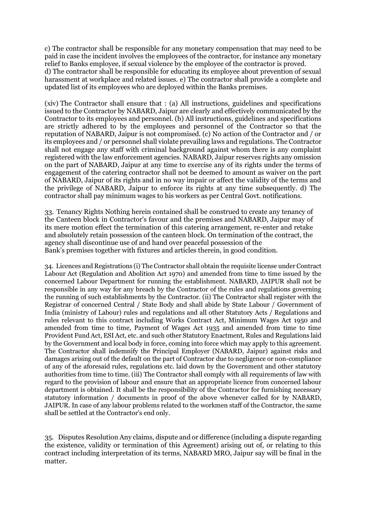c) The contractor shall be responsible for any monetary compensation that may need to be paid in case the incident involves the employees of the contractor, for instance any monetary relief to Banks employee, if sexual violence by the employee of the contractor is proved. d) The contractor shall be responsible for educating its employee about prevention of sexual harassment at workplace and related issues. e) The contractor shall provide a complete and updated list of its employees who are deployed within the Banks premises.

(xiv) The Contractor shall ensure that : (a) All instructions, guidelines and specifications issued to the Contractor by NABARD, Jaipur are clearly and effectively communicated by the Contractor to its employees and personnel. (b) All instructions, guidelines and specifications are strictly adhered to by the employees and personnel of the Contractor so that the reputation of NABARD, Jaipur is not compromised. (c) No action of the Contractor and / or its employees and / or personnel shall violate prevailing laws and regulations. The Contractor shall not engage any staff with criminal background against whom there is any complaint registered with the law enforcement agencies. NABARD, Jaipur reserves rights any omission on the part of NABARD, Jaipur at any time to exercise any of its rights under the terms of engagement of the catering contractor shall not be deemed to amount as waiver on the part of NABARD, Jaipur of its rights and in no way impair or affect the validity of the terms and the privilege of NABARD, Jaipur to enforce its rights at any time subsequently. d) The contractor shall pay minimum wages to his workers as per Central Govt. notifications.

33. Tenancy Rights Nothing herein contained shall be construed to create any tenancy of the Canteen block in Contractor's favour and the premises and NABARD, Jaipur may of its mere motion effect the termination of this catering arrangement, re-enter and retake and absolutely retain possession of the canteen block. On termination of the contract, the agency shall discontinue use of and hand over peaceful possession of the Bank's premises together with fixtures and articles therein, in good condition.

34. Licences and Registrations (i) The Contractor shall obtain the requisite license under Contract Labour Act (Regulation and Abolition Act 1970) and amended from time to time issued by the concerned Labour Department for running the establishment. NABARD, JAIPUR shall not be responsible in any way for any breach by the Contractor of the rules and regulations governing the running of such establishments by the Contractor. (ii) The Contractor shall register with the Registrar of concerned Central / State Body and shall abide by State Labour / Government of India (ministry of Labour) rules and regulations and all other Statutory Acts / Regulations and rules relevant to this contract including Works Contract Act, Minimum Wages Act 1950 and amended from time to time, Payment of Wages Act 1935 and amended from time to time Provident Fund Act, ESI Act, etc. and such other Statutory Enactment, Rules and Regulations laid by the Government and local body in force, coming into force which may apply to this agreement. The Contractor shall indemnify the Principal Employer (NABARD, Jaipur) against risks and damages arising out of the default on the part of Contractor due to negligence or non-compliance of any of the aforesaid rules, regulations etc. laid down by the Government and other statutory authorities from time to time. (iii) The Contractor shall comply with all requirements of law with regard to the provision of labour and ensure that an appropriate licence from concerned labour department is obtained. It shall be the responsibility of the Contractor for furnishing necessary statutory information / documents in proof of the above whenever called for by NABARD, JAIPUR. In case of any labour problems related to the workmen staff of the Contractor, the same shall be settled at the Contractor's end only.

35. Disputes Resolution Any claims, dispute and or difference (including a dispute regarding the existence, validity or termination of this Agreement) arising out of, or relating to this contract including interpretation of its terms, NABARD MRO, Jaipur say will be final in the matter.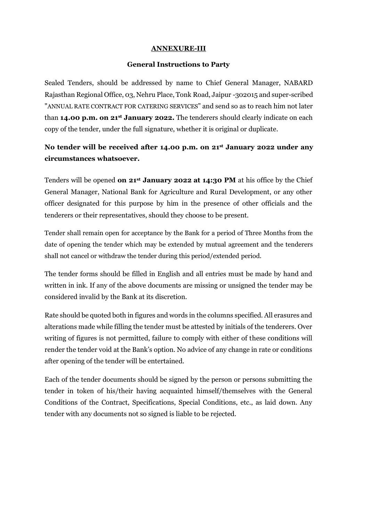#### **ANNEXURE-III**

#### **General Instructions to Party**

Sealed Tenders, should be addressed by name to Chief General Manager, NABARD Rajasthan Regional Office, 03, Nehru Place, Tonk Road, Jaipur -302015 and super-scribed "ANNUAL RATE CONTRACT FOR CATERING SERVICES" and send so as to reach him not later than **14.00 p.m. on 21st January 2022.** The tenderers should clearly indicate on each copy of the tender, under the full signature, whether it is original or duplicate.

## **No tender will be received after 14.00 p.m. on 21st January 2022 under any circumstances whatsoever.**

Tenders will be opened **on 21st January 2022 at 14:30 PM** at his office by the Chief General Manager, National Bank for Agriculture and Rural Development, or any other officer designated for this purpose by him in the presence of other officials and the tenderers or their representatives, should they choose to be present.

Tender shall remain open for acceptance by the Bank for a period of Three Months from the date of opening the tender which may be extended by mutual agreement and the tenderers shall not cancel or withdraw the tender during this period/extended period.

The tender forms should be filled in English and all entries must be made by hand and written in ink. If any of the above documents are missing or unsigned the tender may be considered invalid by the Bank at its discretion.

Rate should be quoted both in figures and words in the columns specified. All erasures and alterations made while filling the tender must be attested by initials of the tenderers. Over writing of figures is not permitted, failure to comply with either of these conditions will render the tender void at the Bank's option. No advice of any change in rate or conditions after opening of the tender will be entertained.

Each of the tender documents should be signed by the person or persons submitting the tender in token of his/their having acquainted himself/themselves with the General Conditions of the Contract, Specifications, Special Conditions, etc., as laid down. Any tender with any documents not so signed is liable to be rejected.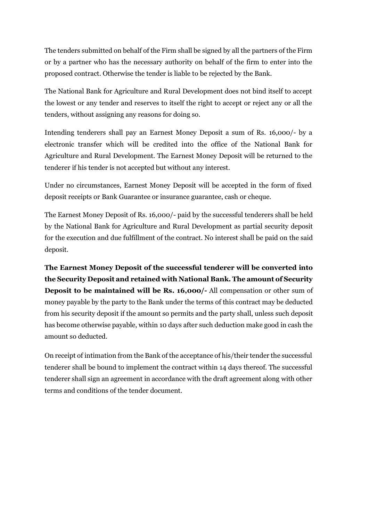The tenders submitted on behalf of the Firm shall be signed by all the partners of the Firm or by a partner who has the necessary authority on behalf of the firm to enter into the proposed contract. Otherwise the tender is liable to be rejected by the Bank.

The National Bank for Agriculture and Rural Development does not bind itself to accept the lowest or any tender and reserves to itself the right to accept or reject any or all the tenders, without assigning any reasons for doing so.

Intending tenderers shall pay an Earnest Money Deposit a sum of Rs. 16,000/- by a electronic transfer which will be credited into the office of the National Bank for Agriculture and Rural Development. The Earnest Money Deposit will be returned to the tenderer if his tender is not accepted but without any interest.

Under no circumstances, Earnest Money Deposit will be accepted in the form of fixed deposit receipts or Bank Guarantee or insurance guarantee, cash or cheque.

The Earnest Money Deposit of Rs. 16,000/- paid by the successful tenderers shall be held by the National Bank for Agriculture and Rural Development as partial security deposit for the execution and due fulfillment of the contract. No interest shall be paid on the said deposit.

**The Earnest Money Deposit of the successful tenderer will be converted into the Security Deposit and retained with National Bank. The amount of Security Deposit to be maintained will be Rs. 16,000/-** All compensation or other sum of money payable by the party to the Bank under the terms of this contract may be deducted from his security deposit if the amount so permits and the party shall, unless such deposit has become otherwise payable, within 10 days after such deduction make good in cash the amount so deducted.

On receipt of intimation from the Bank of the acceptance of his/their tender the successful tenderer shall be bound to implement the contract within 14 days thereof. The successful tenderer shall sign an agreement in accordance with the draft agreement along with other terms and conditions of the tender document.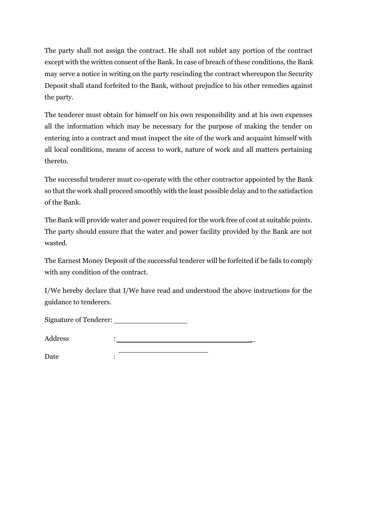The party shall not assign the contract. He shall not sublet any portion of the contract except with the written consent of the Bank. In case of breach of these conditions, the Bank may serve a notice in writing on the party rescinding the contract whereupon the Security Deposit shall stand forfeited to the Bank, without prejudice to his other remedies against the party.

The tenderer must obtain for himself on his own responsibility and at his own expenses all the information which may be necessary for the purpose of making the tender on entering into a contract and must inspect the site of the work and acquaint himself with all local conditions, means of access to work, nature of work and all matters pertaining thereto.

The successful tenderer must co-operate with the other contractor appointed by the Bank so that the work shall proceed smoothly with the least possible delay and to the satisfaction of the Bank.

The Bank will provide water and power required for the work free of cost at suitable points. The party should ensure that the water and power facility provided by the Bank are not wasted.

The Earnest Money Deposit of the successful tenderer will be forfeited if he fails to comply with any condition of the contract.

I/We hereby declare that I/We have read and understood the above instructions for the guidance to tenderers.

| <b>Signature of Tenderer:</b> |
|-------------------------------|
|                               |

| Address |  |
|---------|--|
|         |  |
|         |  |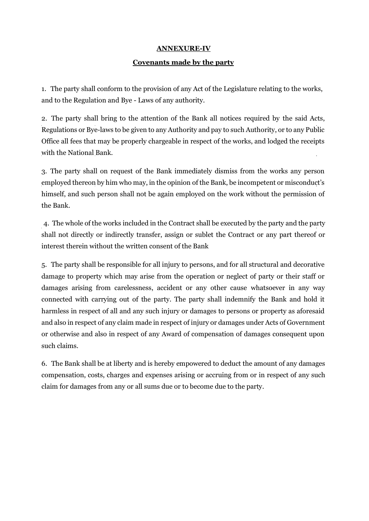#### **ANNEXURE-IV**

#### **Covenants made by the party**

1. The party shall conform to the provision of any Act of the Legislature relating to the works, and to the Regulation and Bye - Laws of any authority.

2. The party shall bring to the attention of the Bank all notices required by the said Acts, Regulations or Bye-laws to be given to any Authority and pay to such Authority, or to any Public Office all fees that may be properly chargeable in respect of the works, and lodged the receipts with the National Bank.

3. The party shall on request of the Bank immediately dismiss from the works any person employed thereon by him who may, in the opinion of the Bank, be incompetent or misconduct's himself, and such person shall not be again employed on the work without the permission of the Bank.

4. The whole of the works included in the Contract shall be executed by the party and the party shall not directly or indirectly transfer, assign or sublet the Contract or any part thereof or interest therein without the written consent of the Bank

5. The party shall be responsible for all injury to persons, and for all structural and decorative damage to property which may arise from the operation or neglect of party or their staff or damages arising from carelessness, accident or any other cause whatsoever in any way connected with carrying out of the party. The party shall indemnify the Bank and hold it harmless in respect of all and any such injury or damages to persons or property as aforesaid and also in respect of any claim made in respect of injury or damages under Acts of Government or otherwise and also in respect of any Award of compensation of damages consequent upon such claims.

6. The Bank shall be at liberty and is hereby empowered to deduct the amount of any damages compensation, costs, charges and expenses arising or accruing from or in respect of any such claim for damages from any or all sums due or to become due to the party.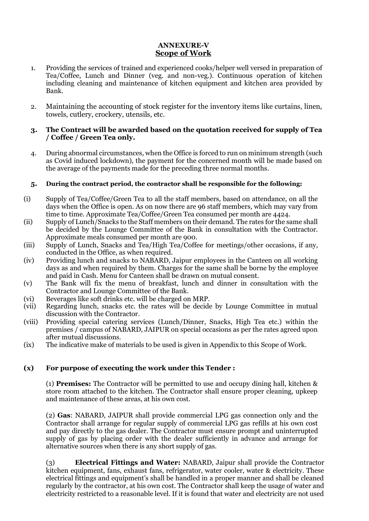#### **ANNEXURE-V Scope of Work**

- 1. Providing the services of trained and experienced cooks/helper well versed in preparation of Tea/Coffee, Lunch and Dinner (veg. and non-veg.). Continuous operation of kitchen including cleaning and maintenance of kitchen equipment and kitchen area provided by Bank.
- 2. Maintaining the accounting of stock register for the inventory items like curtains, linen, towels, cutlery, crockery, utensils, etc.

#### **3. The Contract will be awarded based on the quotation received for supply of Tea / Coffee / Green Tea only.**

4. During abnormal circumstances, when the Office is forced to run on minimum strength (such as Covid induced lockdown), the payment for the concerned month will be made based on the average of the payments made for the preceding three normal months.

#### **5. During the contract period, the contractor shall be responsible for the following:**

- (i) Supply of Tea/Coffee/Green Tea to all the staff members, based on attendance, on all the days when the Office is open. As on now there are 96 staff members, which may vary from time to time. Approximate Tea/Coffee/Green Tea consumed per month are 4424.
- (ii) Supply of Lunch/Snacks to the Staff members on their demand. The rates for the same shall be decided by the Lounge Committee of the Bank in consultation with the Contractor. Approximate meals consumed per month are 900.
- (iii) Supply of Lunch, Snacks and Tea/High Tea/Coffee for meetings/other occasions, if any, conducted in the Office, as when required.
- (iv) Providing lunch and snacks to NABARD, Jaipur employees in the Canteen on all working days as and when required by them. Charges for the same shall be borne by the employee and paid in Cash. Menu for Canteen shall be drawn on mutual consent.
- (v) The Bank will fix the menu of breakfast, lunch and dinner in consultation with the Contractor and Lounge Committee of the Bank.
- (vi) Beverages like soft drinks etc. will be charged on MRP.
- (vii) Regarding lunch, snacks etc. the rates will be decide by Lounge Committee in mutual discussion with the Contractor.
- (viii) Providing special catering services (Lunch/Dinner, Snacks, High Tea etc.) within the premises / campus of NABARD, JAIPUR on special occasions as per the rates agreed upon after mutual discussions.
- (ix) The indicative make of materials to be used is given in Appendix to this Scope of Work.

#### **(x) For purpose of executing the work under this Tender :**

(1) **Premises:** The Contractor will be permitted to use and occupy dining hall, kitchen & store room attached to the kitchen. The Contractor shall ensure proper cleaning, upkeep and maintenance of these areas, at his own cost.

(2) **Gas**: NABARD, JAIPUR shall provide commercial LPG gas connection only and the Contractor shall arrange for regular supply of commercial LPG gas refills at his own cost and pay directly to the gas dealer. The Contractor must ensure prompt and uninterrupted supply of gas by placing order with the dealer sufficiently in advance and arrange for alternative sources when there is any short supply of gas.

(3) **Electrical Fittings and Water:** NABARD, Jaipur shall provide the Contractor kitchen equipment, fans, exhaust fans, refrigerator, water cooler, water & electricity. These electrical fittings and equipment's shall be handled in a proper manner and shall be cleaned regularly by the contractor, at his own cost. The Contractor shall keep the usage of water and electricity restricted to a reasonable level. If it is found that water and electricity are not used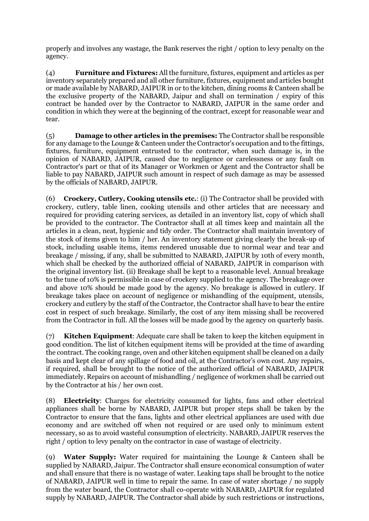properly and involves any wastage, the Bank reserves the right / option to levy penalty on the agency.

(4) **Furniture and Fixtures:** All the furniture, fixtures, equipment and articles as per inventory separately prepared and all other furniture, fixtures, equipment and articles bought or made available by NABARD, JAIPUR in or to the kitchen, dining rooms & Canteen shall be the exclusive property of the NABARD, Jaipur and shall on termination / expiry of this contract be handed over by the Contractor to NABARD, JAIPUR in the same order and condition in which they were at the beginning of the contract, except for reasonable wear and tear.

(5) **Damage to other articles in the premises:** The Contractor shall be responsible for any damage to the Lounge & Canteen under the Contractor's occupation and to the fittings, fixtures, furniture, equipment entrusted to the contractor, when such damage is, in the opinion of NABARD, JAIPUR, caused due to negligence or carelessness or any fault on Contractor's part or that of its Manager or Workmen or Agent and the Contractor shall be liable to pay NABARD, JAIPUR such amount in respect of such damage as may be assessed by the officials of NABARD, JAIPUR.

(6) **Crockery, Cutlery, Cooking utensils etc.**: (i) The Contractor shall be provided with crockery, cutlery, table linen, cooking utensils and other articles that are necessary and required for providing catering services, as detailed in an inventory list, copy of which shall be provided to the contractor. The Contractor shall at all times keep and maintain all the articles in a clean, neat, hygienic and tidy order. The Contractor shall maintain inventory of the stock of items given to him / her. An inventory statement giving clearly the break-up of stock, including usable items, items rendered unusable due to normal wear and tear and breakage / missing, if any, shall be submitted to NABARD, JAIPUR by 10th of every month, which shall be checked by the authorized official of NABARD, JAIPUR in comparison with the original inventory list. (ii) Breakage shall be kept to a reasonable level. Annual breakage to the tune of 10% is permissible in case of crockery supplied to the agency. The breakage over and above 10% should be made good by the agency. No breakage is allowed in cutlery. If breakage takes place on account of negligence or mishandling of the equipment, utensils, crockery and cutlery by the staff of the Contractor, the Contractor shall have to bear the entire cost in respect of such breakage. Similarly, the cost of any item missing shall be recovered from the Contractor in full. All the losses will be made good by the agency on quarterly basis.

(7) **Kitchen Equipment**: Adequate care shall be taken to keep the kitchen equipment in good condition. The list of kitchen equipment items will be provided at the time of awarding the contract. The cooking range, oven and other kitchen equipment shall be cleaned on a daily basis and kept clear of any spillage of food and oil, at the Contractor's own cost. Any repairs, if required, shall be brought to the notice of the authorized official of NABARD, JAIPUR immediately. Repairs on account of mishandling / negligence of workmen shall be carried out by the Contractor at his / her own cost.

(8) **Electricity**: Charges for electricity consumed for lights, fans and other electrical appliances shall be borne by NABARD, JAIPUR but proper steps shall be taken by the Contractor to ensure that the fans, lights and other electrical appliances are used with due economy and are switched off when not required or are used only to minimum extent necessary, so as to avoid wasteful consumption of electricity. NABARD, JAIPUR reserves the right / option to levy penalty on the contractor in case of wastage of electricity.

(9) **Water Supply:** Water required for maintaining the Lounge & Canteen shall be supplied by NABARD, Jaipur. The Contractor shall ensure economical consumption of water and shall ensure that there is no wastage of water. Leaking taps shall be brought to the notice of NABARD, JAIPUR well in time to repair the same. In case of water shortage / no supply from the water board, the Contractor shall co-operate with NABARD, JAIPUR for regulated supply by NABARD, JAIPUR. The Contractor shall abide by such restrictions or instructions,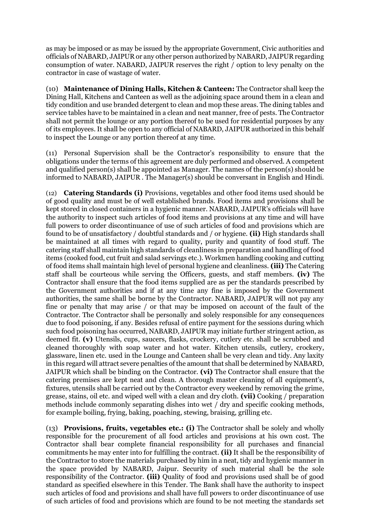as may be imposed or as may be issued by the appropriate Government, Civic authorities and officials of NABARD, JAIPUR or any other person authorized by NABARD, JAIPUR regarding consumption of water. NABARD, JAIPUR reserves the right / option to levy penalty on the contractor in case of wastage of water.

(10) **Maintenance of Dining Halls, Kitchen & Canteen:** The Contractor shall keep the Dining Hall, Kitchens and Canteen as well as the adjoining space around them in a clean and tidy condition and use branded detergent to clean and mop these areas. The dining tables and service tables have to be maintained in a clean and neat manner, free of pests. The Contractor shall not permit the lounge or any portion thereof to be used for residential purposes by any of its employees. It shall be open to any official of NABARD, JAIPUR authorized in this behalf to inspect the Lounge or any portion thereof at any time.

(11) Personal Supervision shall be the Contractor's responsibility to ensure that the obligations under the terms of this agreement are duly performed and observed. A competent and qualified person(s) shall be appointed as Manager. The names of the person(s) should be informed to NABARD, JAIPUR . The Manager(s) should be conversant in English and Hindi.

(12) **Catering Standards (i)** Provisions, vegetables and other food items used should be of good quality and must be of well established brands. Food items and provisions shall be kept stored in closed containers in a hygienic manner. NABARD, JAIPUR's officials will have the authority to inspect such articles of food items and provisions at any time and will have full powers to order discontinuance of use of such articles of food and provisions which are found to be of unsatisfactory / doubtful standards and / or hygiene. **(ii)** High standards shall be maintained at all times with regard to quality, purity and quantity of food stuff. The catering staff shall maintain high standards of cleanliness in preparation and handling of food items (cooked food, cut fruit and salad servings etc.). Workmen handling cooking and cutting of food items shall maintain high level of personal hygiene and cleanliness. **(iii)** The Catering staff shall be courteous while serving the Officers, guests, and staff members. **(iv)** The Contractor shall ensure that the food items supplied are as per the standards prescribed by the Government authorities and if at any time any fine is imposed by the Government authorities, the same shall be borne by the Contractor. NABARD, JAIPUR will not pay any fine or penalty that may arise / or that may be imposed on account of the fault of the Contractor. The Contractor shall be personally and solely responsible for any consequences due to food poisoning, if any. Besides refusal of entire payment for the sessions during which such food poisoning has occurred, NABARD, JAIPUR may initiate further stringent action, as deemed fit. **(v)** Utensils, cups, saucers, flasks, crockery, cutlery etc. shall be scrubbed and cleaned thoroughly with soap water and hot water. Kitchen utensils, cutlery, crockery, glassware, linen etc. used in the Lounge and Canteen shall be very clean and tidy. Any laxity in this regard will attract severe penalties of the amount that shall be determined by NABARD, JAIPUR which shall be binding on the Contractor. **(vi)** The Contractor shall ensure that the catering premises are kept neat and clean. A thorough master cleaning of all equipment's, fixtures, utensils shall be carried out by the Contractor every weekend by removing the grime, grease, stains, oil etc. and wiped well with a clean and dry cloth. **(vii)** Cooking / preparation methods include commonly separating dishes into wet / dry and specific cooking methods, for example boiling, frying, baking, poaching, stewing, braising, grilling etc.

(13) **Provisions, fruits, vegetables etc.: (i)** The Contractor shall be solely and wholly responsible for the procurement of all food articles and provisions at his own cost. The Contractor shall bear complete financial responsibility for all purchases and financial commitments he may enter into for fulfilling the contract. **(ii)** It shall be the responsibility of the Contractor to store the materials purchased by him in a neat, tidy and hygienic manner in the space provided by NABARD, Jaipur. Security of such material shall be the sole responsibility of the Contractor. **(iii)** Quality of food and provisions used shall be of good standard as specified elsewhere in this Tender. The Bank shall have the authority to inspect such articles of food and provisions and shall have full powers to order discontinuance of use of such articles of food and provisions which are found to be not meeting the standards set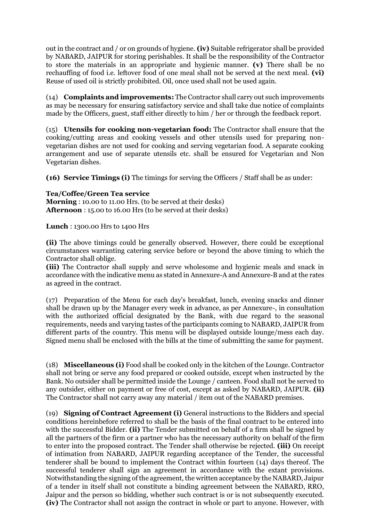out in the contract and / or on grounds of hygiene. **(iv)** Suitable refrigerator shall be provided by NABARD, JAIPUR for storing perishables. It shall be the responsibility of the Contractor to store the materials in an appropriate and hygienic manner. **(v)** There shall be no rechauffing of food i.e. leftover food of one meal shall not be served at the next meal. **(vi)** Reuse of used oil is strictly prohibited. Oil, once used shall not be used again.

(14) **Complaints and improvements:** The Contractor shall carry out such improvements as may be necessary for ensuring satisfactory service and shall take due notice of complaints made by the Officers, guest, staff either directly to him / her or through the feedback report.

(15) **Utensils for cooking non-vegetarian food:** The Contractor shall ensure that the cooking/cutting areas and cooking vessels and other utensils used for preparing nonvegetarian dishes are not used for cooking and serving vegetarian food. A separate cooking arrangement and use of separate utensils etc. shall be ensured for Vegetarian and Non Vegetarian dishes.

**(16) Service Timings (i)** The timings for serving the Officers / Staff shall be as under:

#### **Tea/Coffee/Green Tea service**

**Morning** : 10.00 to 11.00 Hrs. (to be served at their desks) **Afternoon** : 15.00 to 16.00 Hrs (to be served at their desks)

**Lunch** : 1300.00 Hrs to 1400 Hrs

**(ii)** The above timings could be generally observed. However, there could be exceptional circumstances warranting catering service before or beyond the above timing to which the Contractor shall oblige.

**(iii)** The Contractor shall supply and serve wholesome and hygienic meals and snack in accordance with the indicative menu as stated in Annexure-A and Annexure-B and at the rates as agreed in the contract.

(17) Preparation of the Menu for each day's breakfast, lunch, evening snacks and dinner shall be drawn up by the Manager every week in advance, as per Annexure-, in consultation with the authorized official designated by the Bank, with due regard to the seasonal requirements, needs and varying tastes of the participants coming to NABARD, JAIPUR from different parts of the country. This menu will be displayed outside lounge/mess each day. Signed menu shall be enclosed with the bills at the time of submitting the same for payment.

(18) **Miscellaneous (i)** Food shall be cooked only in the kitchen of the Lounge. Contractor shall not bring or serve any food prepared or cooked outside, except when instructed by the Bank. No outsider shall be permitted inside the Lounge / canteen. Food shall not be served to any outsider, either on payment or free of cost, except as asked by NABARD, JAIPUR. **(ii)** The Contractor shall not carry away any material / item out of the NABARD premises.

(19) **Signing of Contract Agreement (i)** General instructions to the Bidders and special conditions hereinbefore referred to shall be the basis of the final contract to be entered into with the successful Bidder. **(ii)** The Tender submitted on behalf of a firm shall be signed by all the partners of the firm or a partner who has the necessary authority on behalf of the firm to enter into the proposed contract. The Tender shall otherwise be rejected. **(iii)** On receipt of intimation from NABARD, JAIPUR regarding acceptance of the Tender, the successful tenderer shall be bound to implement the Contract within fourteen (14) days thereof. The successful tenderer shall sign an agreement in accordance with the extant provisions. Notwithstanding the signing of the agreement, the written acceptance by the NABARD, Jaipur of a tender in itself shall not constitute a binding agreement between the NABARD, RRO, Jaipur and the person so bidding, whether such contract is or is not subsequently executed. **(iv)** The Contractor shall not assign the contract in whole or part to anyone. However, with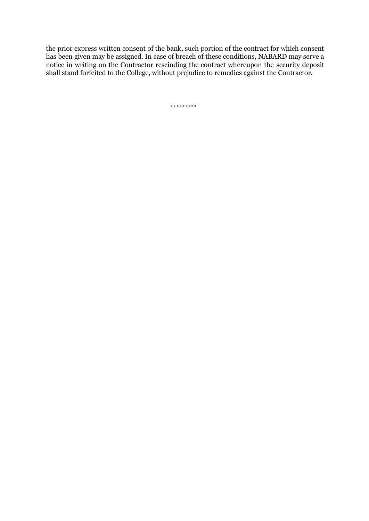the prior express written consent of the bank, such portion of the contract for which consent has been given may be assigned. In case of breach of these conditions, NABARD may serve a notice in writing on the Contractor rescinding the contract whereupon the security deposit shall stand forfeited to the College, without prejudice to remedies against the Contractor.

\*\*\*\*\*\*\*\*\*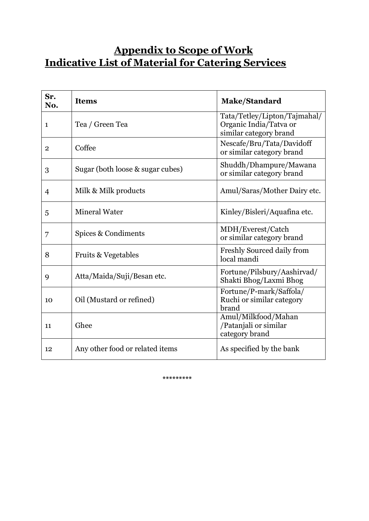## **Appendix to Scope of Work Indicative List of Material for Catering Services**

| Sr.<br>No.     | <b>Items</b>                     | Make/Standard                                                                    |  |
|----------------|----------------------------------|----------------------------------------------------------------------------------|--|
| $\mathbf{1}$   | Tea / Green Tea                  | Tata/Tetley/Lipton/Tajmahal/<br>Organic India/Tatva or<br>similar category brand |  |
| $\overline{2}$ | Coffee                           | Nescafe/Bru/Tata/Davidoff<br>or similar category brand                           |  |
| 3              | Sugar (both loose & sugar cubes) | Shuddh/Dhampure/Mawana<br>or similar category brand                              |  |
| 4              | Milk & Milk products             | Amul/Saras/Mother Dairy etc.                                                     |  |
| 5              | <b>Mineral Water</b>             | Kinley/Bisleri/Aquafina etc.                                                     |  |
| 7              | Spices & Condiments              | MDH/Everest/Catch<br>or similar category brand                                   |  |
| 8              | Fruits & Vegetables              | Freshly Sourced daily from<br>local mandi                                        |  |
| 9              | Atta/Maida/Suji/Besan etc.       | Fortune/Pilsbury/Aashirvad/<br>Shakti Bhog/Laxmi Bhog                            |  |
| 10             | Oil (Mustard or refined)         | Fortune/P-mark/Saffola/<br>Ruchi or similar category<br>brand                    |  |
| 11             | Ghee                             | Amul/Milkfood/Mahan<br>/Patanjali or similar<br>category brand                   |  |
| 12             | Any other food or related items  | As specified by the bank                                                         |  |

**\*\*\*\*\*\*\*\*\***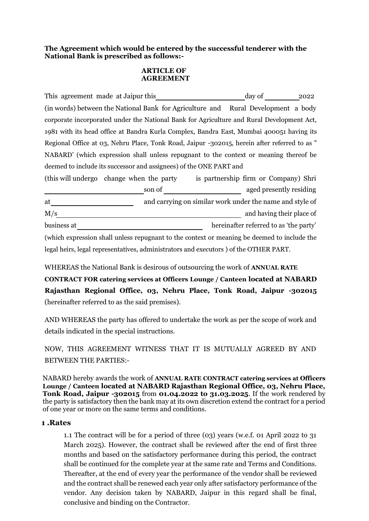#### **The Agreement which would be entered by the successful tenderer with the National Bank is prescribed as follows:-**

#### **ARTICLE OF AGREEMENT**

This agreement made at Jaipur this day of 2022 (in words) between the National Bank for Agriculture and Rural Development a body corporate incorporated under the National Bank for Agriculture and Rural Development Act, 1981 with its head office at Bandra Kurla Complex, Bandra East, Mumbai 400051 having its Regional Office at 03, Nehru Place, Tonk Road, Jaipur -302015, herein after referred to as " NABARD' (which expression shall unless repugnant to the context or meaning thereof be deemed to include its successor and assignees) of the ONE PART and (this will undergo change when the party is partnership firm or Company) Shri son of aged presently residing at and carrying on similar work under the name and style of M/s and having their place of business at hereinafter referred to as 'the party'

(which expression shall unless repugnant to the context or meaning be deemed to include the legal heirs, legal representatives, administrators and executors ) of the OTHER PART.

WHEREAS the National Bank is desirous of outsourcing the work of **ANNUAL RATE CONTRACT FOR catering services at Officers Lounge / Canteen located at NABARD Rajasthan Regional Office, 03, Nehru Place, Tonk Road, Jaipur -302015**  (hereinafter referred to as the said premises).

AND WHEREAS the party has offered to undertake the work as per the scope of work and details indicated in the special instructions.

NOW, THIS AGREEMENT WITNESS THAT IT IS MUTUALLY AGREED BY AND BETWEEN THE PARTIES:-

NABARD hereby awards the work of **ANNUAL RATE CONTRACT catering services at Officers Lounge / Canteen located at NABARD Rajasthan Regional Office, 03, Nehru Place, Tonk Road, Jaipur -302015** from **01.04.2022 to 31.03.2025**. If the work rendered by the party is satisfactory then the bank may at its own discretion extend the contract for a period of one year or more on the same terms and conditions.

#### **1 .Rates**

1.1 The contract will be for a period of three (03) years (w.e.f. 01 April 2022 to 31 March 2025). However, the contract shall be reviewed after the end of first three months and based on the satisfactory performance during this period, the contract shall be continued for the complete year at the same rate and Terms and Conditions. Thereafter, at the end of every year the performance of the vendor shall be reviewed and the contract shall be renewed each year only after satisfactory performance of the vendor. Any decision taken by NABARD, Jaipur in this regard shall be final, conclusive and binding on the Contractor.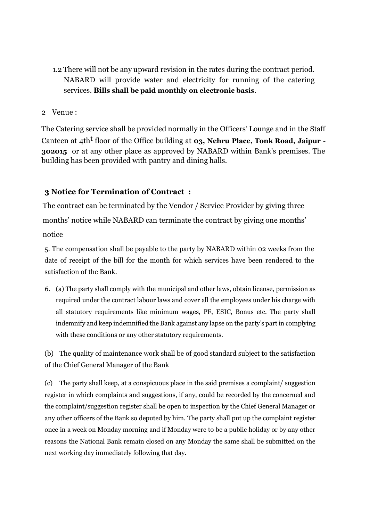- 1.2 There will not be any upward revision in the rates during the contract period. NABARD will provide water and electricity for running of the catering services. **Bills shall be paid monthly on electronic basis**.
- 2 Venue :

The Catering service shall be provided normally in the Officers' Lounge and in the Staff Canteen at 4th<sup>t</sup> floor of the Office building at **03, Nehru Place, Tonk Road, Jaipur** -**302015** or at any other place as approved by NABARD within Bank's premises. The building has been provided with pantry and dining halls.

#### **3 Notice for Termination of Contract :**

The contract can be terminated by the Vendor / Service Provider by giving three months' notice while NABARD can terminate the contract by giving one months' notice

5. The compensation shall be payable to the party by NABARD within 02 weeks from the date of receipt of the bill for the month for which services have been rendered to the satisfaction of the Bank.

6. (a) The party shall comply with the municipal and other laws, obtain license, permission as required under the contract labour laws and cover all the employees under his charge with all statutory requirements like minimum wages, PF, ESIC, Bonus etc. The party shall indemnify and keep indemnified the Bank against any lapse on the party's part in complying with these conditions or any other statutory requirements.

(b) The quality of maintenance work shall be of good standard subject to the satisfaction of the Chief General Manager of the Bank

(c) The party shall keep, at a conspicuous place in the said premises a complaint/ suggestion register in which complaints and suggestions, if any, could be recorded by the concerned and the complaint/suggestion register shall be open to inspection by the Chief General Manager or any other officers of the Bank so deputed by him. The party shall put up the complaint register once in a week on Monday morning and if Monday were to be a public holiday or by any other reasons the National Bank remain closed on any Monday the same shall be submitted on the next working day immediately following that day.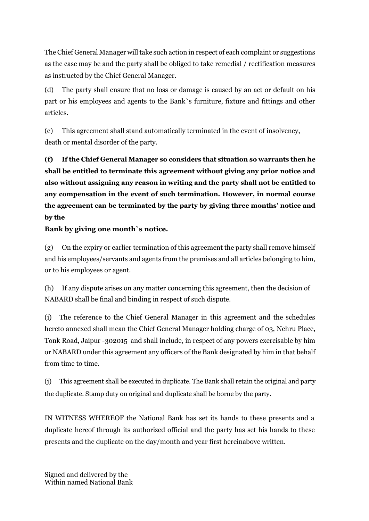The Chief General Manager will take such action in respect of each complaint or suggestions as the case may be and the party shall be obliged to take remedial / rectification measures as instructed by the Chief General Manager.

(d) The party shall ensure that no loss or damage is caused by an act or default on his part or his employees and agents to the Bank`s furniture, fixture and fittings and other articles.

(e) This agreement shall stand automatically terminated in the event of insolvency, death or mental disorder of the party.

**(f) If the Chief General Manager so considers that situation so warrants then he shall be entitled to terminate this agreement without giving any prior notice and also without assigning any reason in writing and the party shall not be entitled to any compensation in the event of such termination. However, in normal course the agreement can be terminated by the party by giving three months' notice and by the**

**Bank by giving one month`s notice.**

(g) On the expiry or earlier termination of this agreement the party shall remove himself and his employees/servants and agents from the premises and all articles belonging to him, or to his employees or agent.

(h) If any dispute arises on any matter concerning this agreement, then the decision of NABARD shall be final and binding in respect of such dispute.

(i) The reference to the Chief General Manager in this agreement and the schedules hereto annexed shall mean the Chief General Manager holding charge of 03, Nehru Place, Tonk Road, Jaipur -302015 and shall include, in respect of any powers exercisable by him or NABARD under this agreement any officers of the Bank designated by him in that behalf from time to time.

(j) This agreement shall be executed in duplicate. The Bank shall retain the original and party the duplicate. Stamp duty on original and duplicate shall be borne by the party.

IN WITNESS WHEREOF the National Bank has set its hands to these presents and a duplicate hereof through its authorized official and the party has set his hands to these presents and the duplicate on the day/month and year first hereinabove written.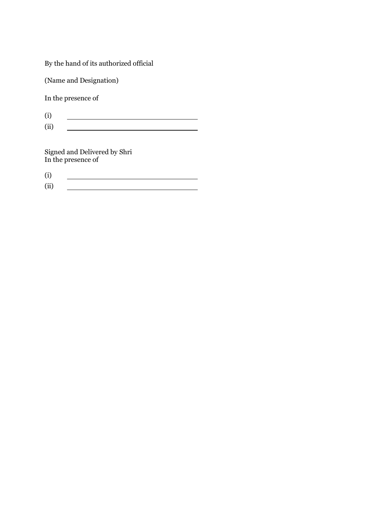By the hand of its authorized official

(Name and Designation)

In the presence of

(i) 

(ii) <u> 1989 - Johann Barbara, martin amerikan basa</u>

Signed and Delivered by Shri In the presence of

(i) <u> 1989 - Johann Barbara, martin amerikan per</u> (ii)<u> 1989 - Johann Barbara, martxa a</u>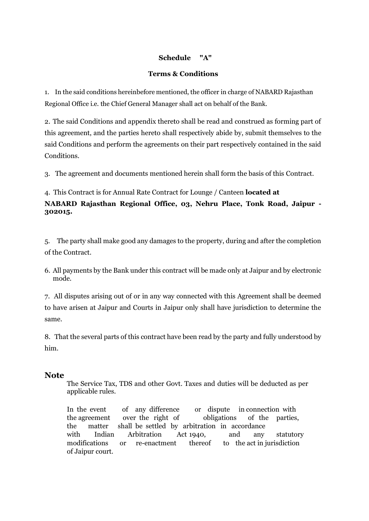#### **Schedule "A"**

#### **Terms & Conditions**

1. In the said conditions hereinbefore mentioned, the officer in charge of NABARD Rajasthan Regional Office i.e. the Chief General Manager shall act on behalf of the Bank.

2. The said Conditions and appendix thereto shall be read and construed as forming part of this agreement, and the parties hereto shall respectively abide by, submit themselves to the said Conditions and perform the agreements on their part respectively contained in the said Conditions.

3. The agreement and documents mentioned herein shall form the basis of this Contract.

4. This Contract is for Annual Rate Contract for Lounge / Canteen **located at**

## **NABARD Rajasthan Regional Office, 03, Nehru Place, Tonk Road, Jaipur - 302015.**

5. The party shall make good any damages to the property, during and after the completion of the Contract.

6. All payments by the Bank under this contract will be made only at Jaipur and by electronic mode.

7. All disputes arising out of or in any way connected with this Agreement shall be deemed to have arisen at Jaipur and Courts in Jaipur only shall have jurisdiction to determine the same.

8. That the several parts of this contract have been read by the party and fully understood by him.

#### **Note**

The Service Tax, TDS and other Govt. Taxes and duties will be deducted as per applicable rules.

In the event of any difference or dispute in connection with the agreement over the right of obligations of the parties, the matter shall be settled by arbitration in accordance with Indian Arbitration Act 1940, and any statutory modifications or re-enactment thereof to the act in jurisdiction of Jaipur court.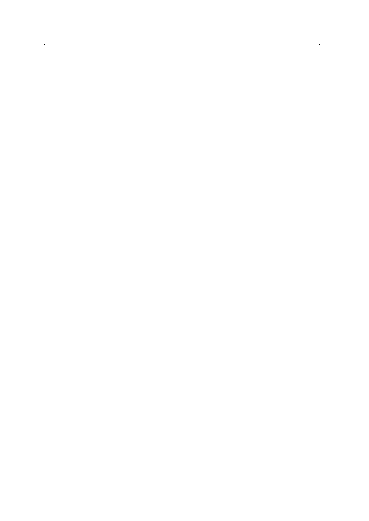$\mathcal{L}^{\mathcal{L}}(\mathcal{L}^{\mathcal{L}}(\mathcal{L}^{\mathcal{L}}(\mathcal{L}^{\mathcal{L}}(\mathcal{L}^{\mathcal{L}}(\mathcal{L}^{\mathcal{L}}(\mathcal{L}^{\mathcal{L}}(\mathcal{L}^{\mathcal{L}}(\mathcal{L}^{\mathcal{L}}(\mathcal{L}^{\mathcal{L}}(\mathcal{L}^{\mathcal{L}}(\mathcal{L}^{\mathcal{L}}(\mathcal{L}^{\mathcal{L}}(\mathcal{L}^{\mathcal{L}}(\mathcal{L}^{\mathcal{L}}(\mathcal{L}^{\mathcal{L}}(\mathcal{L}^{\mathcal{L$  $\mathcal{L}^{\text{max}}_{\text{max}}$  and  $\mathcal{L}^{\text{max}}_{\text{max}}$